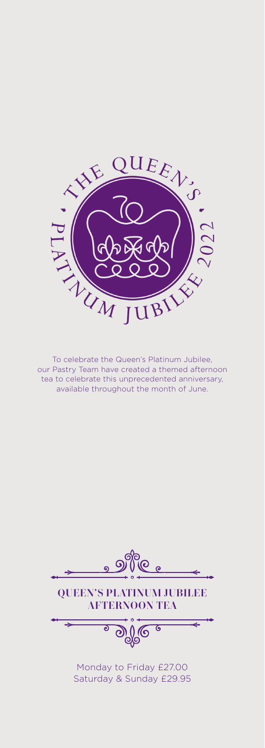

To celebrate the Queen's Platinum Jubilee, our Pastry Team have created a themed afternoon tea to celebrate this unprecedented anniversary, available throughout the month of June.

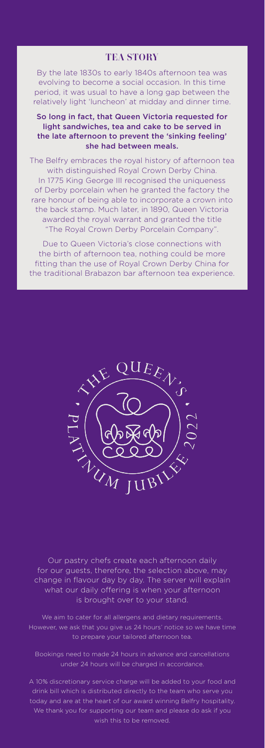#### TEA STORY

By the late 1830s to early 1840s afternoon tea was evolving to become a social occasion. In this time period, it was usual to have a long gap between the relatively light 'luncheon' at midday and dinner time.

#### So long in fact, that Queen Victoria requested for light sandwiches, tea and cake to be served in the late afternoon to prevent the 'sinking feeling' she had between meals.

The Belfry embraces the royal history of afternoon tea with distinguished Royal Crown Derby China. In 1775 King George III recognised the uniqueness of Derby porcelain when he granted the factory the rare honour of being able to incorporate a crown into the back stamp. Much later, in 1890, Queen Victoria awarded the royal warrant and granted the title The Royal Crown Derby Porcelain Company<sup>®</sup>

Due to Queen Victoria's close connections with the birth of afternoon tea, nothing could be more fitting than the use of Royal Crown Derby China for the traditional Brabazon bar afternoon tea experience.



Our pastry chefs create each afternoon daily for our guests, therefore, the selection above, may change in flavour day by day. The server will explain what our daily offering is when your afternoon is brought over to your stand.

We aim to cater for all allergens and dietary requirements. However, we ask that you give us 24 hours' notice so we have time to prepare your tailored afternoon tea.

under 24 hours will be charged in accordance.

A 10% discretionary service charge will be added to your food and drink bill which is distributed directly to the team who serve you today and are at the heart of our award winning Belfry hospitality. We thank you for supporting our team and please do ask if you wish this to be removed.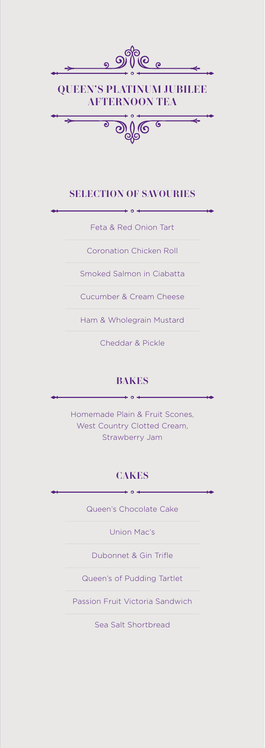

# QUEEN'S PLATINUM JUBILEE AFTERNOON TEA



# SELECTION OF SAVOURIES  $\rightarrow \circ +$

Feta & Red Onion Tart

Coronation Chicken Roll

Smoked Salmon in Ciabatta

Cucumber & Cream Cheese

Ham & Wholegrain Mustard

Cheddar & Pickle

## BAKES  $\rightarrow \circ +$

Homemade Plain & Fruit Scones, West Country Clotted Cream, Strawberry Jam

## **CAKES**  $\rightarrow \circ +$

Queen's Chocolate Cake

Union Mac's

Dubonnet & Gin Trifle

Queen's of Pudding Tartlet

Passion Fruit Victoria Sandwich

Sea Salt Shortbread